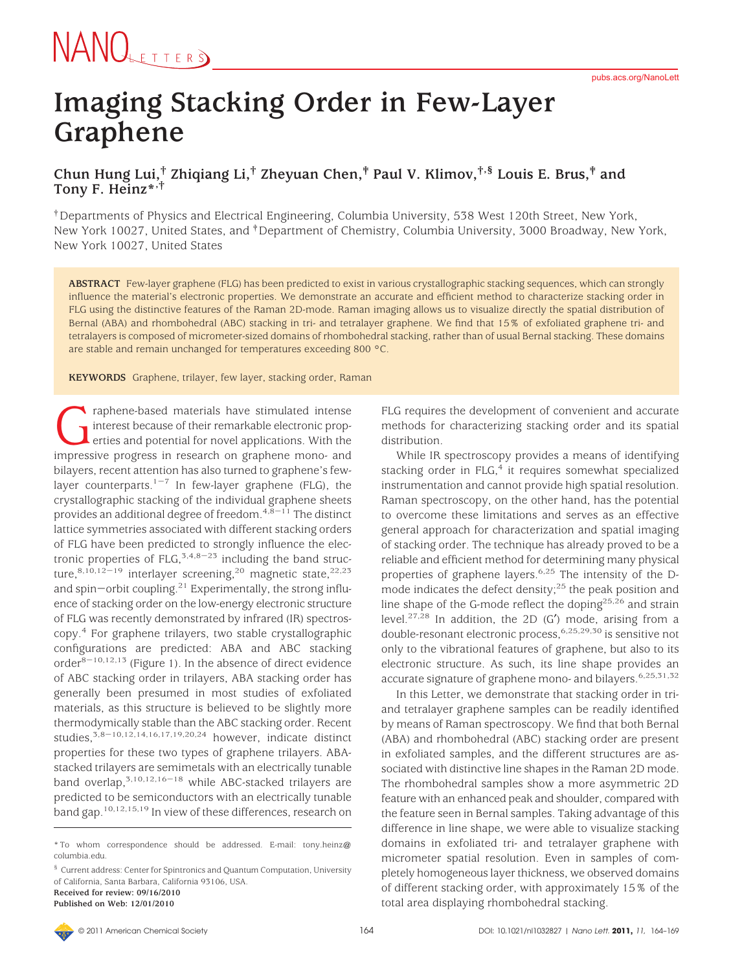#### **Imaging Stacking Order in Few-Layer Graphene**

#### **Chun Hung Lui,† Zhiqiang Li,† Zheyuan Chen,‡ Paul V. Klimov,†,§ Louis E. Brus,‡ and Tony F. Heinz\*,†**

†Departments of Physics and Electrical Engineering, Columbia University, 538 West 120th Street, New York, New York 10027, United States, and ‡Department of Chemistry, Columbia University, 3000 Broadway, New York, New York 10027, United States

**ABSTRACT** Few-layer graphene (FLG) has been predicted to exist in various crystallographic stacking sequences, which can strongly influence the material's electronic properties. We demonstrate an accurate and efficient method to characterize stacking order in FLG using the distinctive features of the Raman 2D-mode. Raman imaging allows us to visualize directly the spatial distribution of Bernal (ABA) and rhombohedral (ABC) stacking in tri- and tetralayer graphene. We find that 15% of exfoliated graphene tri- and tetralayers is composed of micrometer-sized domains of rhombohedral stacking, rather than of usual Bernal stacking. These domains are stable and remain unchanged for temperatures exceeding 800 °C.

**KEYWORDS** Graphene, trilayer, few layer, stacking order, Raman

raphene-based materials have stimulated intense<br>interest because of their remarkable electronic prop-<br>erties and potential for novel applications. With the<br>impressive progress in research on graphene mono- and interest because of their remarkable electronic properties and potential for novel applications. With the bilayers, recent attention has also turned to graphene's fewlayer counterparts.<sup>1-7</sup> In few-layer graphene (FLG), the crystallographic stacking of the individual graphene sheets provides an additional degree of freedom.  $4,\bar{8}-11$  The distinct lattice symmetries associated with different stacking orders of FLG have been predicted to strongly influence the electronic properties of FLG,  $5,4,8-23$  including the band structure,<sup>8,10,12-19</sup> interlayer screening,<sup>20</sup> magnetic state,<sup>22,23</sup> and spin-orbit coupling.<sup>21</sup> Experimentally, the strong influence of stacking order on the low-energy electronic structure of FLG was recently demonstrated by infrared (IR) spectroscopy.4 For graphene trilayers, two stable crystallographic configurations are predicted: ABA and ABC stacking order $8-10,12,13$  (Figure 1). In the absence of direct evidence of ABC stacking order in trilayers, ABA stacking order has generally been presumed in most studies of exfoliated materials, as this structure is believed to be slightly more thermodymically stable than the ABC stacking order. Recent studies, $3.8-10,12,14,16,17,19,20,24$  however, indicate distinct properties for these two types of graphene trilayers. ABAstacked trilayers are semimetals with an electrically tunable band overlap,<sup>3,10,12,16-18</sup> while ABC-stacked trilayers are predicted to be semiconductors with an electrically tunable band gap.10,12,15,19 In view of these differences, research on

**Published on Web: 12/01/2010**

FLG requires the development of convenient and accurate methods for characterizing stacking order and its spatial distribution.

While IR spectroscopy provides a means of identifying stacking order in FLG,<sup>4</sup> it requires somewhat specialized instrumentation and cannot provide high spatial resolution. Raman spectroscopy, on the other hand, has the potential to overcome these limitations and serves as an effective general approach for characterization and spatial imaging of stacking order. The technique has already proved to be a reliable and efficient method for determining many physical properties of graphene layers.<sup>6,25</sup> The intensity of the Dmode indicates the defect density;25 the peak position and line shape of the G-mode reflect the doping<sup>25,26</sup> and strain level.27,28 In addition, the 2D (G′) mode, arising from a double-resonant electronic process,<sup>6,25,29,30</sup> is sensitive not only to the vibrational features of graphene, but also to its electronic structure. As such, its line shape provides an accurate signature of graphene mono- and bilayers.<sup>6,25,31,32</sup>

In this Letter, we demonstrate that stacking order in triand tetralayer graphene samples can be readily identified by means of Raman spectroscopy. We find that both Bernal (ABA) and rhombohedral (ABC) stacking order are present in exfoliated samples, and the different structures are associated with distinctive line shapes in the Raman 2D mode. The rhombohedral samples show a more asymmetric 2D feature with an enhanced peak and shoulder, compared with the feature seen in Bernal samples. Taking advantage of this difference in line shape, we were able to visualize stacking domains in exfoliated tri- and tetralayer graphene with micrometer spatial resolution. Even in samples of completely homogeneous layer thickness, we observed domains of different stacking order, with approximately 15% of the total area displaying rhombohedral stacking.

<sup>\*</sup> To whom correspondence should be addressed. E-mail: tony.heinz@ columbia.edu.

<sup>§</sup> Current address: Center for Spintronics and Quantum Computation, University of California, Santa Barbara, California 93106, USA. **Received for review: 09/16/2010**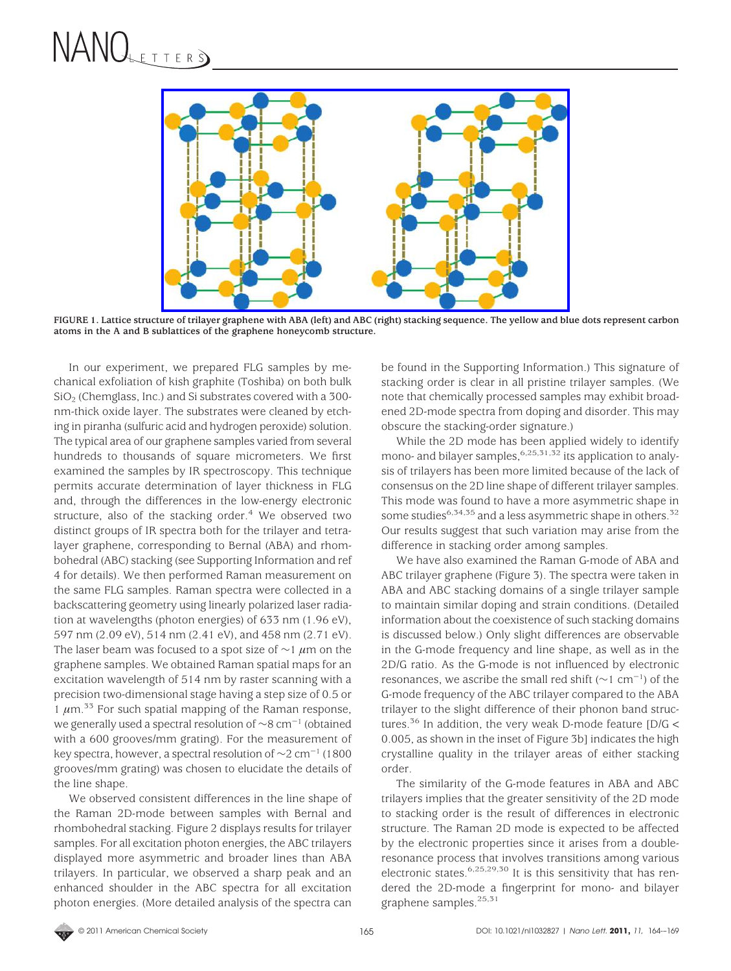

**FIGURE 1. Lattice structure of trilayer graphene with ABA (left) and ABC (right) stacking sequence. The yellow and blue dots represent carbon atoms in the A and B sublattices of the graphene honeycomb structure.**

In our experiment, we prepared FLG samples by mechanical exfoliation of kish graphite (Toshiba) on both bulk SiO2 (Chemglass, Inc.) and Si substrates covered with a 300 nm-thick oxide layer. The substrates were cleaned by etching in piranha (sulfuric acid and hydrogen peroxide) solution. The typical area of our graphene samples varied from several hundreds to thousands of square micrometers. We first examined the samples by IR spectroscopy. This technique permits accurate determination of layer thickness in FLG and, through the differences in the low-energy electronic structure, also of the stacking order. $4$  We observed two distinct groups of IR spectra both for the trilayer and tetralayer graphene, corresponding to Bernal (ABA) and rhombohedral (ABC) stacking (see Supporting Information and ref 4 for details). We then performed Raman measurement on the same FLG samples. Raman spectra were collected in a backscattering geometry using linearly polarized laser radiation at wavelengths (photon energies) of 633 nm (1.96 eV), 597 nm (2.09 eV), 514 nm (2.41 eV), and 458 nm (2.71 eV). The laser beam was focused to a spot size of ∼1 *µ*m on the graphene samples. We obtained Raman spatial maps for an excitation wavelength of 514 nm by raster scanning with a precision two-dimensional stage having a step size of 0.5 or 1  $\mu$ m.<sup>33</sup> For such spatial mapping of the Raman response, we generally used a spectral resolution of ∼8 cm-<sup>1</sup> (obtained with a 600 grooves/mm grating). For the measurement of key spectra, however, a spectral resolution of  $\sim$ 2 cm<sup>-1</sup> (1800 grooves/mm grating) was chosen to elucidate the details of the line shape.

We observed consistent differences in the line shape of the Raman 2D-mode between samples with Bernal and rhombohedral stacking. Figure 2 displays results for trilayer samples. For all excitation photon energies, the ABC trilayers displayed more asymmetric and broader lines than ABA trilayers. In particular, we observed a sharp peak and an enhanced shoulder in the ABC spectra for all excitation photon energies. (More detailed analysis of the spectra can be found in the Supporting Information.) This signature of stacking order is clear in all pristine trilayer samples. (We note that chemically processed samples may exhibit broadened 2D-mode spectra from doping and disorder. This may obscure the stacking-order signature.)

While the 2D mode has been applied widely to identify mono- and bilayer samples,  $6,25,31,32$  its application to analysis of trilayers has been more limited because of the lack of consensus on the 2D line shape of different trilayer samples. This mode was found to have a more asymmetric shape in some studies<sup>6,34,35</sup> and a less asymmetric shape in others.<sup>32</sup> Our results suggest that such variation may arise from the difference in stacking order among samples.

We have also examined the Raman G-mode of ABA and ABC trilayer graphene (Figure 3). The spectra were taken in ABA and ABC stacking domains of a single trilayer sample to maintain similar doping and strain conditions. (Detailed information about the coexistence of such stacking domains is discussed below.) Only slight differences are observable in the G-mode frequency and line shape, as well as in the 2D/G ratio. As the G-mode is not influenced by electronic resonances, we ascribe the small red shift ( $\sim$ 1 cm<sup>-1</sup>) of the G-mode frequency of the ABC trilayer compared to the ABA trilayer to the slight difference of their phonon band structures.<sup>36</sup> In addition, the very weak D-mode feature  $[D/G <$ 0.005, as shown in the inset of Figure 3b] indicates the high crystalline quality in the trilayer areas of either stacking order.

The similarity of the G-mode features in ABA and ABC trilayers implies that the greater sensitivity of the 2D mode to stacking order is the result of differences in electronic structure. The Raman 2D mode is expected to be affected by the electronic properties since it arises from a doubleresonance process that involves transitions among various electronic states.<sup>6,25,29,30</sup> It is this sensitivity that has rendered the 2D-mode a fingerprint for mono- and bilayer graphene samples.<sup>25,31</sup>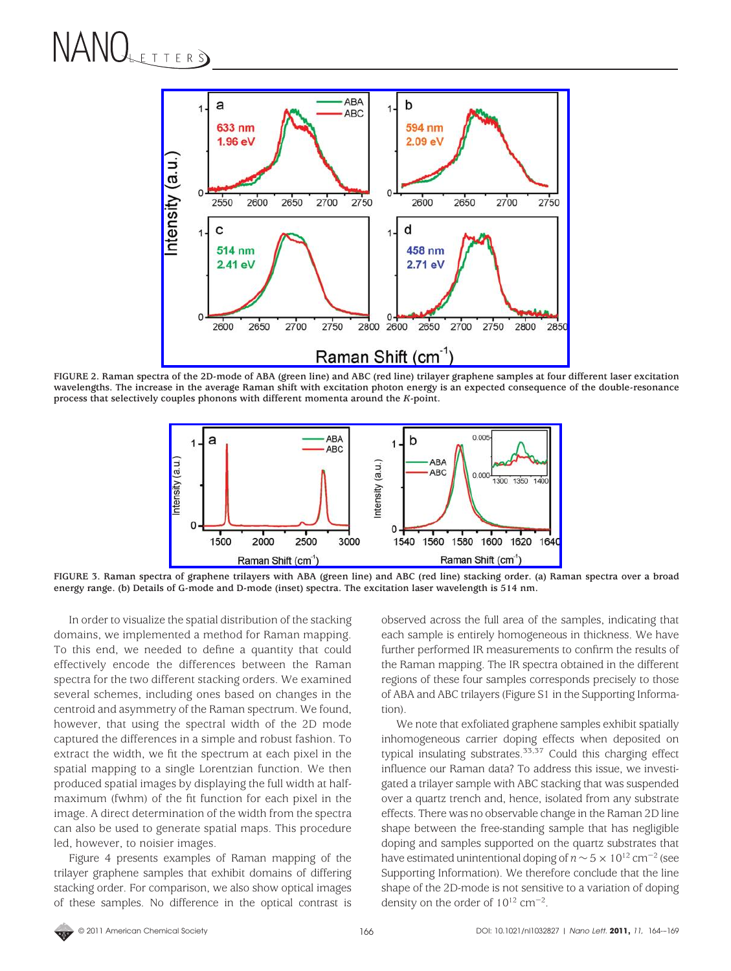

**FIGURE 2. Raman spectra of the 2D-mode of ABA (green line) and ABC (red line) trilayer graphene samples at four different laser excitation wavelengths. The increase in the average Raman shift with excitation photon energy is an expected consequence of the double-resonance process that selectively couples phonons with different momenta around the** *K***-point.**



**FIGURE 3. Raman spectra of graphene trilayers with ABA (green line) and ABC (red line) stacking order. (a) Raman spectra over a broad energy range. (b) Details of G-mode and D-mode (inset) spectra. The excitation laser wavelength is 514 nm.**

In order to visualize the spatial distribution of the stacking domains, we implemented a method for Raman mapping. To this end, we needed to define a quantity that could effectively encode the differences between the Raman spectra for the two different stacking orders. We examined several schemes, including ones based on changes in the centroid and asymmetry of the Raman spectrum. We found, however, that using the spectral width of the 2D mode captured the differences in a simple and robust fashion. To extract the width, we fit the spectrum at each pixel in the spatial mapping to a single Lorentzian function. We then produced spatial images by displaying the full width at halfmaximum (fwhm) of the fit function for each pixel in the image. A direct determination of the width from the spectra can also be used to generate spatial maps. This procedure led, however, to noisier images.

Figure 4 presents examples of Raman mapping of the trilayer graphene samples that exhibit domains of differing stacking order. For comparison, we also show optical images of these samples. No difference in the optical contrast is observed across the full area of the samples, indicating that each sample is entirely homogeneous in thickness. We have further performed IR measurements to confirm the results of the Raman mapping. The IR spectra obtained in the different regions of these four samples corresponds precisely to those of ABA and ABC trilayers (Figure S1 in the Supporting Information).

We note that exfoliated graphene samples exhibit spatially inhomogeneous carrier doping effects when deposited on typical insulating substrates.33,37 Could this charging effect influence our Raman data? To address this issue, we investigated a trilayer sample with ABC stacking that was suspended over a quartz trench and, hence, isolated from any substrate effects. There was no observable change in the Raman 2D line shape between the free-standing sample that has negligible doping and samples supported on the quartz substrates that have estimated unintentional doping of  $n \sim 5 \times 10^{12}$  cm<sup>-2</sup> (see Supporting Information). We therefore conclude that the line shape of the 2D-mode is not sensitive to a variation of doping density on the order of  $10^{12}$  cm<sup>-2</sup>.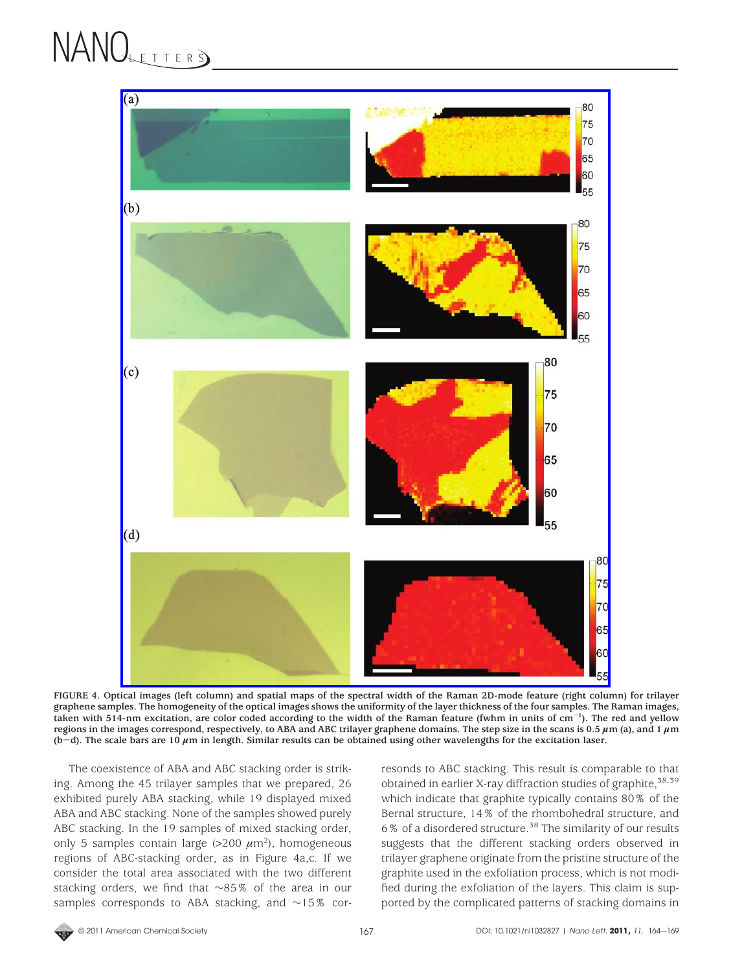

**FIGURE 4. Optical images (left column) and spatial maps of the spectral width of the Raman 2D-mode feature (right column) for trilayer graphene samples. The homogeneity of the optical images shows the uniformity of the layer thickness of the four samples. The Raman images, taken with 514-nm excitation, are color coded according to the width of the Raman feature (fwhm in units of cm**-**1). The red and yellow** regions in the images correspond, respectively, to ABA and ABC trilayer graphene domains. The step size in the scans is 0.5  $\mu$ m (a), and 1  $\mu$ m **(b**-**d). The scale bars are 10** *<sup>µ</sup>***m in length. Similar results can be obtained using other wavelengths for the excitation laser.**

The coexistence of ABA and ABC stacking order is striking. Among the 45 trilayer samples that we prepared, 26 exhibited purely ABA stacking, while 19 displayed mixed ABA and ABC stacking. None of the samples showed purely ABC stacking. In the 19 samples of mixed stacking order, only 5 samples contain large  $(>200 \ \mu m^2)$ , homogeneous regions of ABC-stacking order, as in Figure 4a,c. If we consider the total area associated with the two different stacking orders, we find that ∼85% of the area in our samples corresponds to ABA stacking, and ∼15% corresonds to ABC stacking. This result is comparable to that obtained in earlier X-ray diffraction studies of graphite,  $38,39$ which indicate that graphite typically contains 80% of the Bernal structure, 14% of the rhombohedral structure, and 6% of a disordered structure.<sup>38</sup> The similarity of our results suggests that the different stacking orders observed in trilayer graphene originate from the pristine structure of the graphite used in the exfoliation process, which is not modified during the exfoliation of the layers. This claim is supported by the complicated patterns of stacking domains in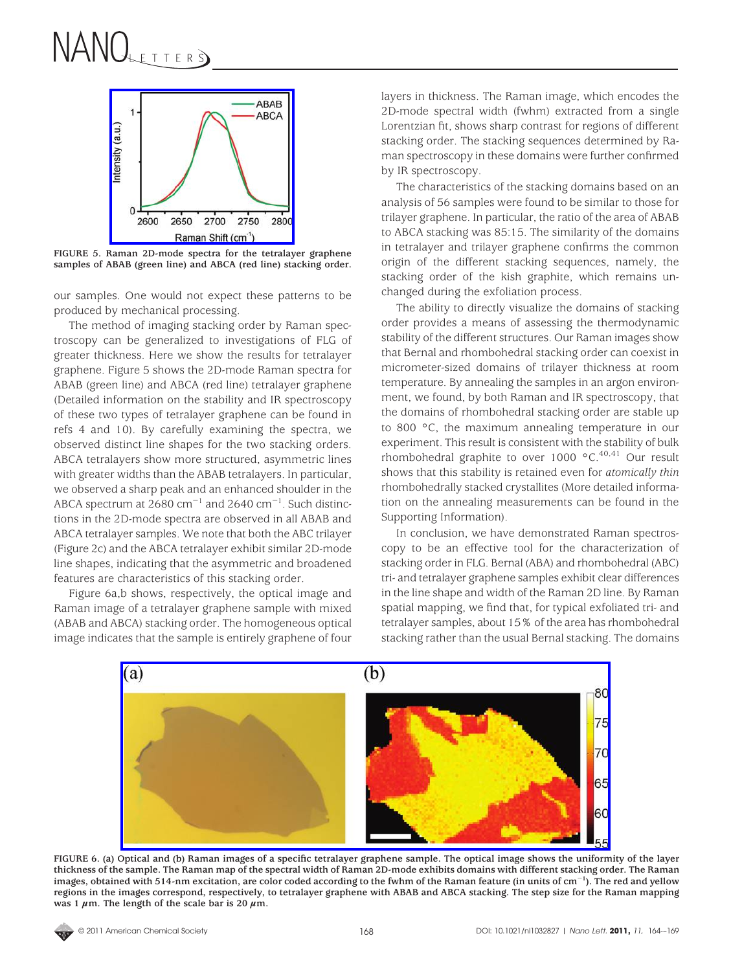

**FIGURE 5. Raman 2D-mode spectra for the tetralayer graphene samples of ABAB (green line) and ABCA (red line) stacking order.**

our samples. One would not expect these patterns to be produced by mechanical processing.

The method of imaging stacking order by Raman spectroscopy can be generalized to investigations of FLG of greater thickness. Here we show the results for tetralayer graphene. Figure 5 shows the 2D-mode Raman spectra for ABAB (green line) and ABCA (red line) tetralayer graphene (Detailed information on the stability and IR spectroscopy of these two types of tetralayer graphene can be found in refs 4 and 10). By carefully examining the spectra, we observed distinct line shapes for the two stacking orders. ABCA tetralayers show more structured, asymmetric lines with greater widths than the ABAB tetralayers. In particular, we observed a sharp peak and an enhanced shoulder in the ABCA spectrum at 2680  $cm^{-1}$  and 2640  $cm^{-1}$ . Such distinctions in the 2D-mode spectra are observed in all ABAB and ABCA tetralayer samples. We note that both the ABC trilayer (Figure 2c) and the ABCA tetralayer exhibit similar 2D-mode line shapes, indicating that the asymmetric and broadened features are characteristics of this stacking order.

Figure 6a,b shows, respectively, the optical image and Raman image of a tetralayer graphene sample with mixed (ABAB and ABCA) stacking order. The homogeneous optical image indicates that the sample is entirely graphene of four layers in thickness. The Raman image, which encodes the 2D-mode spectral width (fwhm) extracted from a single Lorentzian fit, shows sharp contrast for regions of different stacking order. The stacking sequences determined by Raman spectroscopy in these domains were further confirmed by IR spectroscopy.

The characteristics of the stacking domains based on an analysis of 56 samples were found to be similar to those for trilayer graphene. In particular, the ratio of the area of ABAB to ABCA stacking was 85:15. The similarity of the domains in tetralayer and trilayer graphene confirms the common origin of the different stacking sequences, namely, the stacking order of the kish graphite, which remains unchanged during the exfoliation process.

The ability to directly visualize the domains of stacking order provides a means of assessing the thermodynamic stability of the different structures. Our Raman images show that Bernal and rhombohedral stacking order can coexist in micrometer-sized domains of trilayer thickness at room temperature. By annealing the samples in an argon environment, we found, by both Raman and IR spectroscopy, that the domains of rhombohedral stacking order are stable up to 800 °C, the maximum annealing temperature in our experiment. This result is consistent with the stability of bulk rhombohedral graphite to over 1000 °C.<sup>40,41</sup> Our result shows that this stability is retained even for *atomically thin* rhombohedrally stacked crystallites (More detailed information on the annealing measurements can be found in the Supporting Information).

In conclusion, we have demonstrated Raman spectroscopy to be an effective tool for the characterization of stacking order in FLG. Bernal (ABA) and rhombohedral (ABC) tri- and tetralayer graphene samples exhibit clear differences in the line shape and width of the Raman 2D line. By Raman spatial mapping, we find that, for typical exfoliated tri- and tetralayer samples, about 15% of the area has rhombohedral stacking rather than the usual Bernal stacking. The domains



**FIGURE 6. (a) Optical and (b) Raman images of a specific tetralayer graphene sample. The optical image shows the uniformity of the layer thickness of the sample. The Raman map of the spectral width of Raman 2D-mode exhibits domains with different stacking order. The Raman images, obtained with 514-nm excitation, are color coded according to the fwhm of the Raman feature (in units of cm**-**1). The red and yellow regions in the images correspond, respectively, to tetralayer graphene with ABAB and ABCA stacking. The step size for the Raman mapping** was 1  $\mu$ m. The length of the scale bar is 20  $\mu$ m.